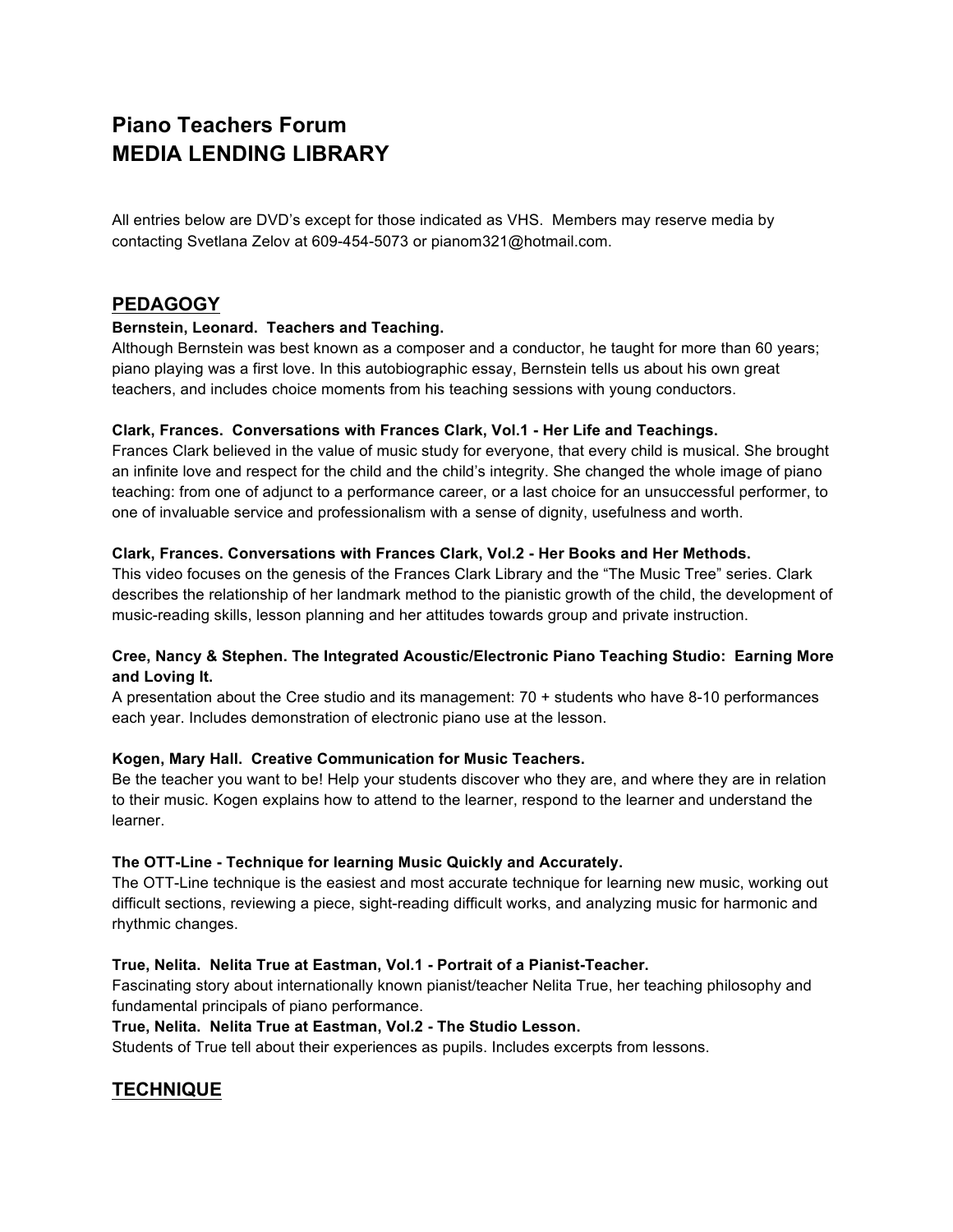# **Piano Teachers Forum MEDIA LENDING LIBRARY**

All entries below are DVD's except for those indicated as VHS. Members may reserve media by contacting Svetlana Zelov at 609-454-5073 or pianom321@hotmail.com.

# **PEDAGOGY**

# **Bernstein, Leonard. Teachers and Teaching.**

Although Bernstein was best known as a composer and a conductor, he taught for more than 60 years; piano playing was a first love. In this autobiographic essay, Bernstein tells us about his own great teachers, and includes choice moments from his teaching sessions with young conductors.

# **Clark, Frances. Conversations with Frances Clark, Vol.1 - Her Life and Teachings.**

Frances Clark believed in the value of music study for everyone, that every child is musical. She brought an infinite love and respect for the child and the child's integrity. She changed the whole image of piano teaching: from one of adjunct to a performance career, or a last choice for an unsuccessful performer, to one of invaluable service and professionalism with a sense of dignity, usefulness and worth.

# **Clark, Frances. Conversations with Frances Clark, Vol.2 - Her Books and Her Methods.**

This video focuses on the genesis of the Frances Clark Library and the "The Music Tree" series. Clark describes the relationship of her landmark method to the pianistic growth of the child, the development of music-reading skills, lesson planning and her attitudes towards group and private instruction.

# **Cree, Nancy & Stephen. The Integrated Acoustic/Electronic Piano Teaching Studio: Earning More and Loving It.**

A presentation about the Cree studio and its management: 70 + students who have 8-10 performances each year. Includes demonstration of electronic piano use at the lesson.

# **Kogen, Mary Hall. Creative Communication for Music Teachers.**

Be the teacher you want to be! Help your students discover who they are, and where they are in relation to their music. Kogen explains how to attend to the learner, respond to the learner and understand the learner.

# **The OTT-Line - Technique for learning Music Quickly and Accurately.**

The OTT-Line technique is the easiest and most accurate technique for learning new music, working out difficult sections, reviewing a piece, sight-reading difficult works, and analyzing music for harmonic and rhythmic changes.

# **True, Nelita. Nelita True at Eastman, Vol.1 - Portrait of a Pianist-Teacher.**

Fascinating story about internationally known pianist/teacher Nelita True, her teaching philosophy and fundamental principals of piano performance.

# **True, Nelita. Nelita True at Eastman, Vol.2 - The Studio Lesson.**

Students of True tell about their experiences as pupils. Includes excerpts from lessons.

# **TECHNIQUE**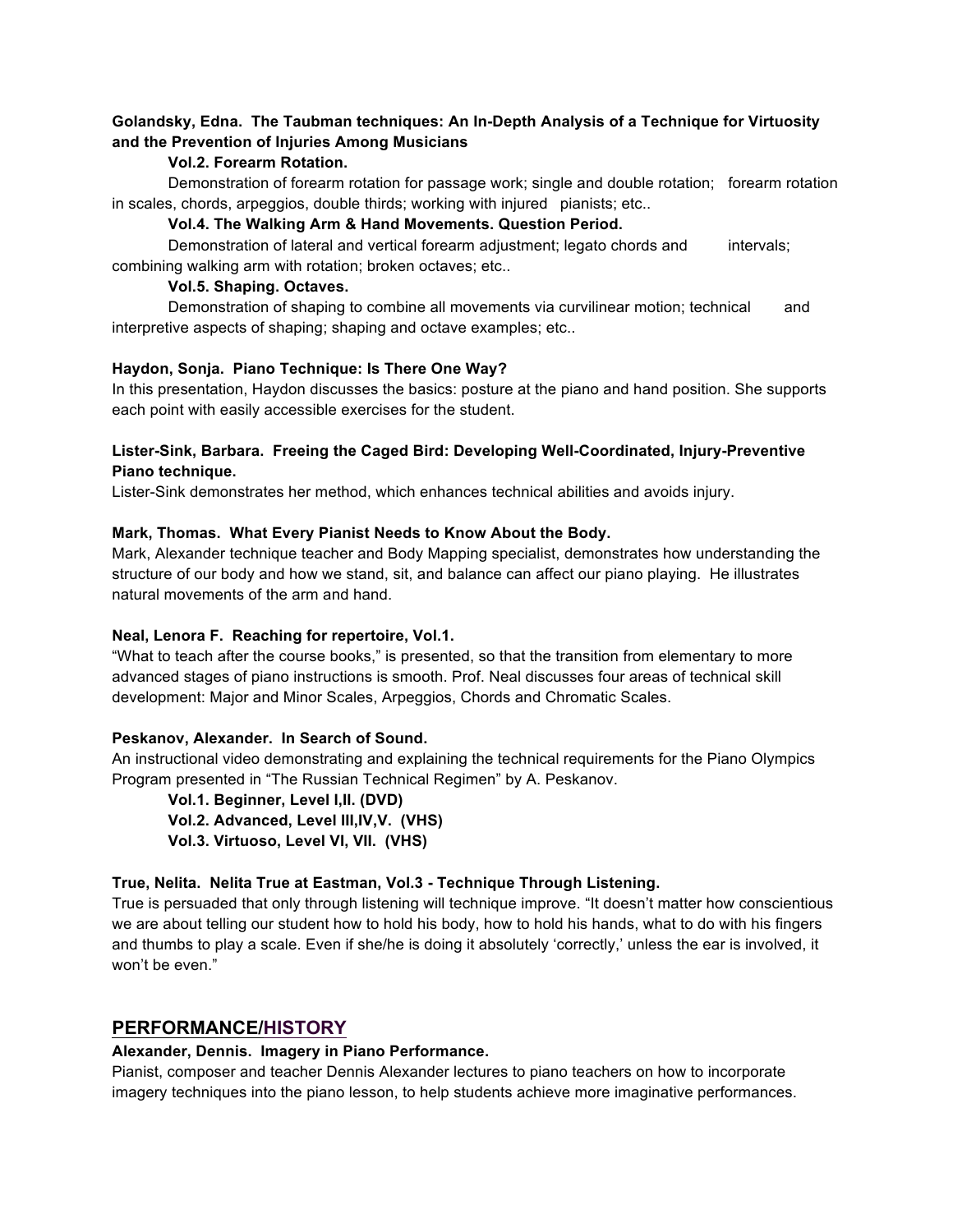# **Golandsky, Edna. The Taubman techniques: An In-Depth Analysis of a Technique for Virtuosity and the Prevention of Injuries Among Musicians**

# **Vol.2. Forearm Rotation.**

Demonstration of forearm rotation for passage work; single and double rotation; forearm rotation in scales, chords, arpeggios, double thirds; working with injured pianists; etc..

#### **Vol.4. The Walking Arm & Hand Movements. Question Period.**

Demonstration of lateral and vertical forearm adjustment; legato chords and intervals; combining walking arm with rotation; broken octaves; etc..

# **Vol.5. Shaping. Octaves.**

Demonstration of shaping to combine all movements via curvilinear motion; technical and interpretive aspects of shaping; shaping and octave examples; etc..

#### **Haydon, Sonja. Piano Technique: Is There One Way?**

In this presentation, Haydon discusses the basics: posture at the piano and hand position. She supports each point with easily accessible exercises for the student.

# **Lister-Sink, Barbara. Freeing the Caged Bird: Developing Well-Coordinated, Injury-Preventive Piano technique.**

Lister-Sink demonstrates her method, which enhances technical abilities and avoids injury.

#### **Mark, Thomas. What Every Pianist Needs to Know About the Body.**

Mark, Alexander technique teacher and Body Mapping specialist, demonstrates how understanding the structure of our body and how we stand, sit, and balance can affect our piano playing. He illustrates natural movements of the arm and hand.

#### **Neal, Lenora F. Reaching for repertoire, Vol.1.**

"What to teach after the course books," is presented, so that the transition from elementary to more advanced stages of piano instructions is smooth. Prof. Neal discusses four areas of technical skill development: Major and Minor Scales, Arpeggios, Chords and Chromatic Scales.

#### **Peskanov, Alexander. In Search of Sound.**

An instructional video demonstrating and explaining the technical requirements for the Piano Olympics Program presented in "The Russian Technical Regimen" by A. Peskanov.

**Vol.1. Beginner, Level I,II. (DVD) Vol.2. Advanced, Level III,IV,V. (VHS) Vol.3. Virtuoso, Level VI, VII. (VHS)**

# **True, Nelita. Nelita True at Eastman, Vol.3 - Technique Through Listening.**

True is persuaded that only through listening will technique improve. "It doesn't matter how conscientious we are about telling our student how to hold his body, how to hold his hands, what to do with his fingers and thumbs to play a scale. Even if she/he is doing it absolutely 'correctly,' unless the ear is involved, it won't be even."

# **PERFORMANCE/HISTORY**

#### **Alexander, Dennis. Imagery in Piano Performance.**

Pianist, composer and teacher Dennis Alexander lectures to piano teachers on how to incorporate imagery techniques into the piano lesson, to help students achieve more imaginative performances.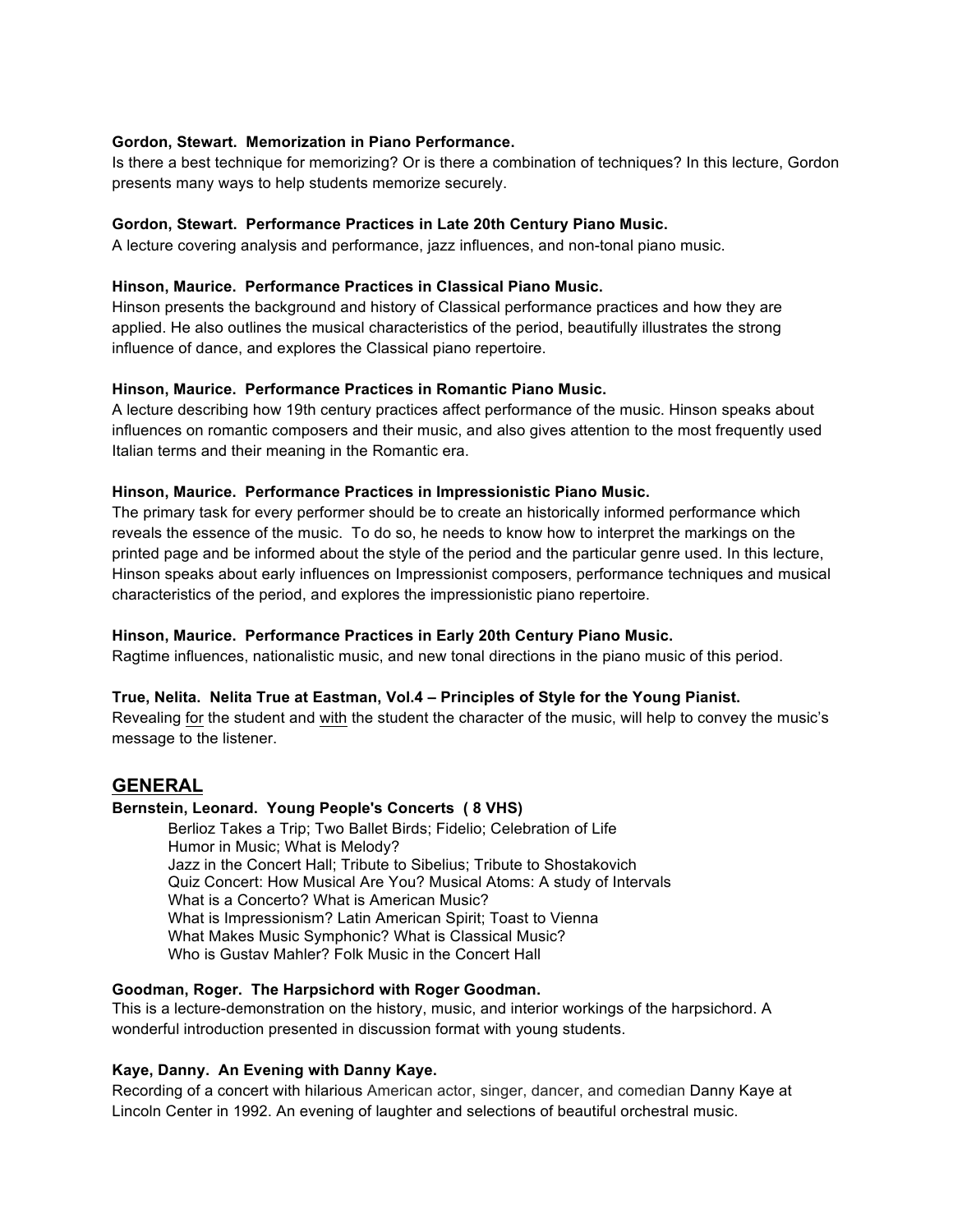#### **Gordon, Stewart. Memorization in Piano Performance.**

Is there a best technique for memorizing? Or is there a combination of techniques? In this lecture, Gordon presents many ways to help students memorize securely.

#### **Gordon, Stewart. Performance Practices in Late 20th Century Piano Music.**

A lecture covering analysis and performance, jazz influences, and non-tonal piano music.

#### **Hinson, Maurice. Performance Practices in Classical Piano Music.**

Hinson presents the background and history of Classical performance practices and how they are applied. He also outlines the musical characteristics of the period, beautifully illustrates the strong influence of dance, and explores the Classical piano repertoire.

# **Hinson, Maurice. Performance Practices in Romantic Piano Music.**

A lecture describing how 19th century practices affect performance of the music. Hinson speaks about influences on romantic composers and their music, and also gives attention to the most frequently used Italian terms and their meaning in the Romantic era.

#### **Hinson, Maurice. Performance Practices in Impressionistic Piano Music.**

The primary task for every performer should be to create an historically informed performance which reveals the essence of the music. To do so, he needs to know how to interpret the markings on the printed page and be informed about the style of the period and the particular genre used. In this lecture, Hinson speaks about early influences on Impressionist composers, performance techniques and musical characteristics of the period, and explores the impressionistic piano repertoire.

#### **Hinson, Maurice. Performance Practices in Early 20th Century Piano Music.**

Ragtime influences, nationalistic music, and new tonal directions in the piano music of this period.

#### **True, Nelita. Nelita True at Eastman, Vol.4 – Principles of Style for the Young Pianist.**

Revealing for the student and with the student the character of the music, will help to convey the music's message to the listener.

# **GENERAL**

#### **Bernstein, Leonard. Young People's Concerts ( 8 VHS)**

Berlioz Takes a Trip; Two Ballet Birds; Fidelio; Celebration of Life Humor in Music; What is Melody? Jazz in the Concert Hall; Tribute to Sibelius; Tribute to Shostakovich Quiz Concert: How Musical Are You? Musical Atoms: A study of Intervals What is a Concerto? What is American Music? What is Impressionism? Latin American Spirit; Toast to Vienna What Makes Music Symphonic? What is Classical Music? Who is Gustav Mahler? Folk Music in the Concert Hall

#### **Goodman, Roger. The Harpsichord with Roger Goodman.**

This is a lecture-demonstration on the history, music, and interior workings of the harpsichord. A wonderful introduction presented in discussion format with young students.

#### **Kaye, Danny. An Evening with Danny Kaye.**

Recording of a concert with hilarious American actor, singer, dancer, and comedian Danny Kaye at Lincoln Center in 1992. An evening of laughter and selections of beautiful orchestral music.